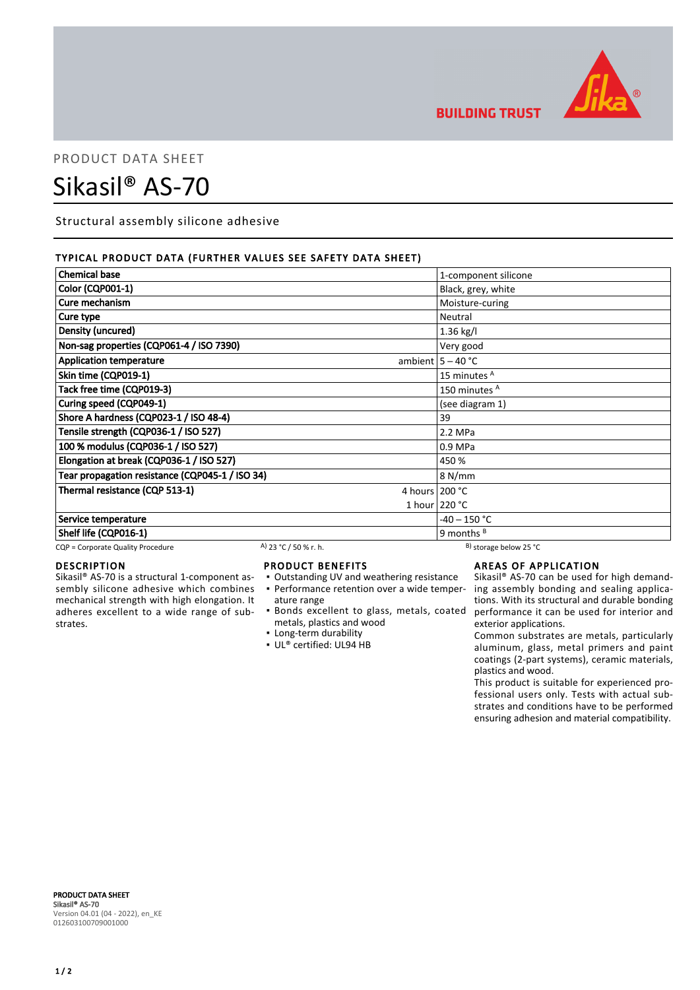

**BUILDING TRUST** 

## PRODUCT DATA SHEET

# Sikasil® AS-70

Structural assembly silicone adhesive

### TYPICAL PRODUCT DATA (FURTHER VALUES SEE SAFETY DATA SHEET)

| <b>Chemical base</b>                            |                       | 1-component silicone         |
|-------------------------------------------------|-----------------------|------------------------------|
| Color (CQP001-1)                                |                       | Black, grey, white           |
| Cure mechanism                                  |                       | Moisture-curing              |
| Cure type                                       |                       | Neutral                      |
| Density (uncured)                               |                       | 1.36 kg/l                    |
| Non-sag properties (CQP061-4 / ISO 7390)        |                       | Very good                    |
| <b>Application temperature</b>                  |                       | ambient $5 - 40$ °C          |
| Skin time (CQP019-1)                            |                       | 15 minutes <sup>A</sup>      |
| Tack free time (CQP019-3)                       |                       | 150 minutes <sup>A</sup>     |
| Curing speed (CQP049-1)                         |                       | (see diagram 1)              |
| Shore A hardness (CQP023-1 / ISO 48-4)          |                       | 39                           |
| Tensile strength (CQP036-1 / ISO 527)           |                       | 2.2 MPa                      |
| 100 % modulus (CQP036-1 / ISO 527)              |                       | 0.9 MPa                      |
| Elongation at break (CQP036-1 / ISO 527)        |                       | 450 %                        |
| Tear propagation resistance (CQP045-1 / ISO 34) |                       | 8 N/mm                       |
| Thermal resistance (CQP 513-1)                  |                       | 4 hours 200 °C               |
|                                                 |                       | 1 hour 220 °C                |
| Service temperature                             |                       | $-40 - 150$ °C               |
| Shelf life (CQP016-1)                           |                       | 9 months $B$                 |
| CQP = Corporate Quality Procedure               | A) 23 °C / 50 % r. h. | $^{B}$ ) storage below 25 °C |

### DESCRIPTION

Sikasil® AS-70 is a structural 1-component assembly silicone adhesive which combines mechanical strength with high elongation. It adheres excellent to a wide range of substrates.

### PRODUCT BENEFITS

- Outstanding UV and weathering resistance
- ature range
- metals, plastics and wood
- **Example 1** Long-term durability
- UL® certified: UL94 HB

### AREAS OF APPLICATION

• Performance retention over a wide temper- ing assembly bonding and sealing applica-Bonds excellent to glass, metals, coated ▪ performance it can be used for interior and Sikasil® AS-70 can be used for high demandtions. With its structural and durable bonding exterior applications.

> Common substrates are metals, particularly aluminum, glass, metal primers and paint coatings (2-part systems), ceramic materials, plastics and wood.

> This product is suitable for experienced professional users only. Tests with actual substrates and conditions have to be performed ensuring adhesion and material compatibility.